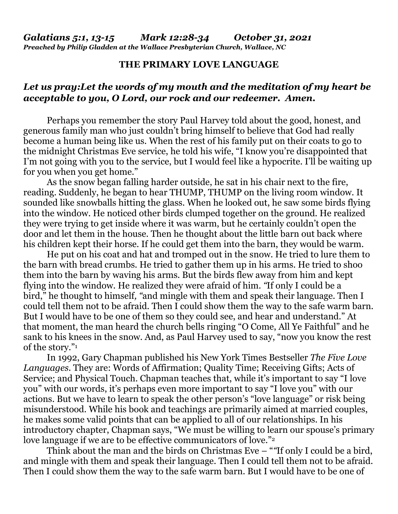## **THE PRIMARY LOVE LANGUAGE**

## *Let us pray:Let the words of my mouth and the meditation of my heart be acceptable to you, O Lord, our rock and our redeemer. Amen.*

 Perhaps you remember the story Paul Harvey told about the good, honest, and generous family man who just couldn't bring himself to believe that God had really become a human being like us. When the rest of his family put on their coats to go to the midnight Christmas Eve service, he told his wife, "I know you're disappointed that I'm not going with you to the service, but I would feel like a hypocrite. I'll be waiting up for you when you get home."

As the snow began falling harder outside, he sat in his chair next to the fire, reading. Suddenly, he began to hear THUMP, THUMP on the living room window. It sounded like snowballs hitting the glass. When he looked out, he saw some birds flying into the window. He noticed other birds clumped together on the ground. He realized they were trying to get inside where it was warm, but he certainly couldn't open the door and let them in the house. Then he thought about the little barn out back where his children kept their horse. If he could get them into the barn, they would be warm.

He put on his coat and hat and tromped out in the snow. He tried to lure them to the barn with bread crumbs. He tried to gather them up in his arms. He tried to shoo them into the barn by waving his arms. But the birds flew away from him and kept flying into the window. He realized they were afraid of him. *"*If only I could be a bird," he thought to himself*, "*and mingle with them and speak their language. Then I could tell them not to be afraid. Then I could show them the way to the safe warm barn. But I would have to be one of them so they could see, and hear and understand." At that moment, the man heard the church bells ringing "O Come, All Ye Faithful" and he sank to his knees in the snow. And, as Paul Harvey used to say, "now you know the rest of the story."<sup>1</sup>

In 1992, Gary Chapman published his New York Times Bestseller *The Five Love Languages*. They are: Words of Affirmation; Quality Time; Receiving Gifts; Acts of Service; and Physical Touch. Chapman teaches that, while it's important to say "I love you" with our words, it's perhaps even more important to say "I love you" with our actions. But we have to learn to speak the other person's "love language" or risk being misunderstood. While his book and teachings are primarily aimed at married couples, he makes some valid points that can be applied to all of our relationships. In his introductory chapter, Chapman says, "We must be willing to learn our spouse's primary love language if we are to be effective communicators of love."<sup>2</sup>

Think about the man and the birds on Christmas Eve – "*"*If only I could be a bird, and mingle with them and speak their language. Then I could tell them not to be afraid. Then I could show them the way to the safe warm barn. But I would have to be one of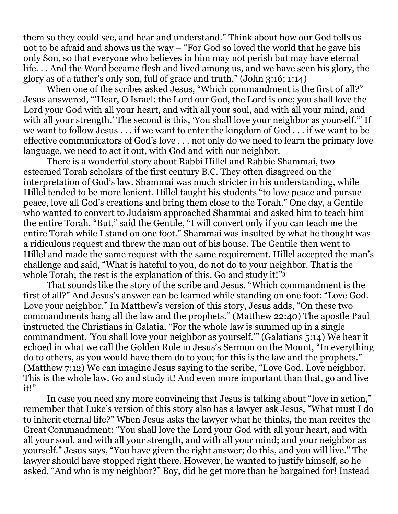them so they could see, and hear and understand." Think about how our God tells us not to be afraid and shows us the way – "For God so loved the world that he gave his only Son, so that everyone who believes in him may not perish but may have eternal life. . . And the Word became flesh and lived among us, and we have seen his glory, the glory as of a father's only son, full of grace and truth." (John 3:16; 1:14)

When one of the scribes asked Jesus, "Which commandment is the first of all?" Jesus answered, "'Hear, O Israel: the Lord our God, the Lord is one; you shall love the Lord your God with all your heart, and with all your soul, and with all your mind, and with all your strength.' The second is this, 'You shall love your neighbor as yourself.'" If we want to follow Jesus . . . if we want to enter the kingdom of God . . . if we want to be effective communicators of God's love . . . not only do we need to learn the primary love language, we need to act it out, with God and with our neighbor.

There is a wonderful story about Rabbi Hillel and Rabbie Shammai, two esteemed Torah scholars of the first century B.C. They often disagreed on the interpretation of God's law. Shammai was much stricter in his understanding, while Hillel tended to be more lenient. Hillel taught his students "to love peace and pursue peace, love all God's creations and bring them close to the Torah." One day, a Gentile who wanted to convert to Judaism approached Shammai and asked him to teach him the entire Torah. "But," said the Gentile, "I will convert only if you can teach me the entire Torah while I stand on one foot." Shammai was insulted by what he thought was a ridiculous request and threw the man out of his house. The Gentile then went to Hillel and made the same request with the same requirement. Hillel accepted the man's challenge and said, "What is hateful to you, do not do to your neighbor. That is the whole Torah; the rest is the explanation of this. Go and study it!"<sup>3</sup>

That sounds like the story of the scribe and Jesus. "Which commandment is the first of all?" And Jesus's answer can be learned while standing on one foot: "Love God. Love your neighbor." In Matthew's version of this story, Jesus adds, "On these two commandments hang all the law and the prophets." (Matthew 22:40) The apostle Paul instructed the Christians in Galatia, "For the whole law is summed up in a single commandment, 'You shall love your neighbor as yourself.'" (Galatians 5:14) We hear it echoed in what we call the Golden Rule in Jesus's Sermon on the Mount, "In everything do to others, as you would have them do to you; for this is the law and the prophets." (Matthew 7:12) We can imagine Jesus saying to the scribe, "Love God. Love neighbor. This is the whole law. Go and study it! And even more important than that, go and live it!"

In case you need any more convincing that Jesus is talking about "love in action," remember that Luke's version of this story also has a lawyer ask Jesus, "What must I do to inherit eternal life?" When Jesus asks the lawyer what he thinks, the man recites the Great Commandment: "You shall love the Lord your God with all your heart, and with all your soul, and with all your strength, and with all your mind; and your neighbor as yourself." Jesus says, "You have given the right answer; do this, and you will live." The lawyer should have stopped right there. However, he wanted to justify himself, so he asked, "And who is my neighbor?" Boy, did he get more than he bargained for! Instead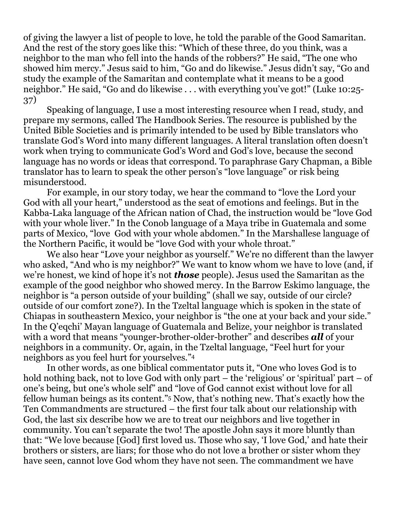of giving the lawyer a list of people to love, he told the parable of the Good Samaritan. And the rest of the story goes like this: "Which of these three, do you think, was a neighbor to the man who fell into the hands of the robbers?" He said, "The one who showed him mercy." Jesus said to him, "Go and do likewise." Jesus didn't say, "Go and study the example of the Samaritan and contemplate what it means to be a good neighbor." He said, "Go and do likewise . . . with everything you've got!" (Luke 10:25- 37)

Speaking of language, I use a most interesting resource when I read, study, and prepare my sermons, called The Handbook Series. The resource is published by the United Bible Societies and is primarily intended to be used by Bible translators who translate God's Word into many different languages. A literal translation often doesn't work when trying to communicate God's Word and God's love, because the second language has no words or ideas that correspond. To paraphrase Gary Chapman, a Bible translator has to learn to speak the other person's "love language" or risk being misunderstood.

For example, in our story today, we hear the command to "love the Lord your God with all your heart," understood as the seat of emotions and feelings. But in the Kabba-Laka language of the African nation of Chad, the instruction would be "love God with your whole liver." In the Conob language of a Maya tribe in Guatemala and some parts of Mexico, "love God with your whole abdomen." In the Marshallese language of the Northern Pacific, it would be "love God with your whole throat."

We also hear "Love your neighbor as yourself." We're no different than the lawyer who asked, "And who is my neighbor?" We want to know whom we have to love (and, if we're honest, we kind of hope it's not *those* people). Jesus used the Samaritan as the example of the good neighbor who showed mercy. In the Barrow Eskimo language, the neighbor is "a person outside of your building" (shall we say, outside of our circle? outside of our comfort zone?). In the Tzeltal language which is spoken in the state of Chiapas in southeastern Mexico, your neighbor is "the one at your back and your side." In the Q'eqchi' Mayan language of Guatemala and Belize, your neighbor is translated with a word that means "younger-brother-older-brother" and describes *all* of your neighbors in a community. Or, again, in the Tzeltal language, "Feel hurt for your neighbors as you feel hurt for yourselves."<sup>4</sup>

In other words, as one biblical commentator puts it, "One who loves God is to hold nothing back, not to love God with only part – the 'religious' or 'spiritual' part – of one's being, but one's whole self" and "love of God cannot exist without love for all fellow human beings as its content."5 Now, that's nothing new. That's exactly how the Ten Commandments are structured – the first four talk about our relationship with God, the last six describe how we are to treat our neighbors and live together in community. You can't separate the two! The apostle John says it more bluntly than that: "We love because [God] first loved us. Those who say, 'I love God,' and hate their brothers or sisters, are liars; for those who do not love a brother or sister whom they have seen, cannot love God whom they have not seen. The commandment we have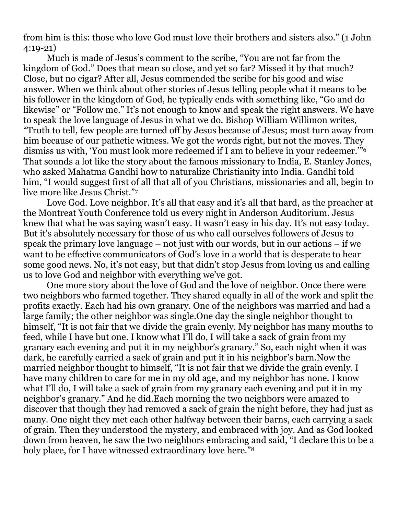from him is this: those who love God must love their brothers and sisters also." (1 John 4:19-21)

Much is made of Jesus's comment to the scribe, "You are not far from the kingdom of God." Does that mean so close, and yet so far? Missed it by that much? Close, but no cigar? After all, Jesus commended the scribe for his good and wise answer. When we think about other stories of Jesus telling people what it means to be his follower in the kingdom of God, he typically ends with something like, "Go and do likewise" or "Follow me." It's not enough to know and speak the right answers. We have to speak the love language of Jesus in what we do. Bishop William Willimon writes, "Truth to tell, few people are turned off by Jesus because of Jesus; most turn away from him because of our pathetic witness. We got the words right, but not the moves. They dismiss us with, 'You must look more redeemed if I am to believe in your redeemer.'"<sup>6</sup> That sounds a lot like the story about the famous missionary to India, E. Stanley Jones, who asked Mahatma Gandhi how to naturalize Christianity into India. Gandhi told him, "I would suggest first of all that all of you Christians, missionaries and all, begin to live more like Jesus Christ."<sup>7</sup>

Love God. Love neighbor. It's all that easy and it's all that hard, as the preacher at the Montreat Youth Conference told us every night in Anderson Auditorium. Jesus knew that what he was saying wasn't easy. It wasn't easy in his day. It's not easy today. But it's absolutely necessary for those of us who call ourselves followers of Jesus to speak the primary love language – not just with our words, but in our actions – if we want to be effective communicators of God's love in a world that is desperate to hear some good news. No, it's not easy, but that didn't stop Jesus from loving us and calling us to love God and neighbor with everything we've got.

One more story about the love of God and the love of neighbor. Once there were two neighbors who farmed together. They shared equally in all of the work and split the profits exactly. Each had his own granary. One of the neighbors was married and had a large family; the other neighbor was single.One day the single neighbor thought to himself, "It is not fair that we divide the grain evenly. My neighbor has many mouths to feed, while I have but one. I know what I'll do, I will take a sack of grain from my granary each evening and put it in my neighbor's granary." So, each night when it was dark, he carefully carried a sack of grain and put it in his neighbor's barn.Now the married neighbor thought to himself, "It is not fair that we divide the grain evenly. I have many children to care for me in my old age, and my neighbor has none. I know what I'll do, I will take a sack of grain from my granary each evening and put it in my neighbor's granary." And he did.Each morning the two neighbors were amazed to discover that though they had removed a sack of grain the night before, they had just as many. One night they met each other halfway between their barns, each carrying a sack of grain. Then they understood the mystery, and embraced with joy. And as God looked down from heaven, he saw the two neighbors embracing and said, "I declare this to be a holy place, for I have witnessed extraordinary love here."<sup>8</sup>